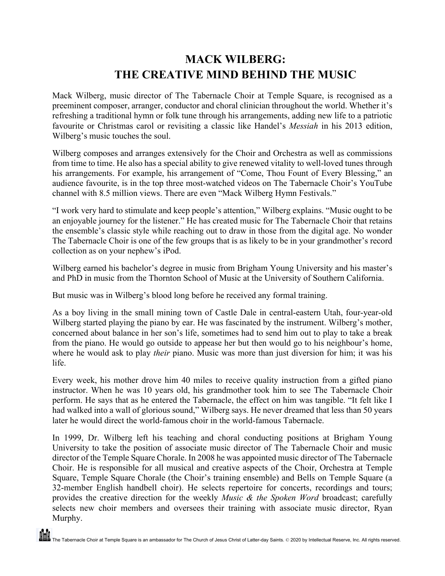## **MACK WILBERG: THE CREATIVE MIND BEHIND THE MUSIC**

Mack Wilberg, music director of The Tabernacle Choir at Temple Square, is recognised as a preeminent composer, arranger, conductor and choral clinician throughout the world. Whether it's refreshing a traditional hymn or folk tune through his arrangements, adding new life to a patriotic favourite or Christmas carol or revisiting a classic like Handel's *Messiah* in his 2013 edition, Wilberg's music touches the soul.

Wilberg composes and arranges extensively for the Choir and Orchestra as well as commissions from time to time. He also has a special ability to give renewed vitality to well-loved tunes through his arrangements. For example, his arrangement of "Come, Thou Fount of Every Blessing," an audience favourite, is in the top three most-watched videos on The Tabernacle Choir's YouTube channel with 8.5 million views. There are even "Mack Wilberg Hymn Festivals."

"I work very hard to stimulate and keep people's attention," Wilberg explains. "Music ought to be an enjoyable journey for the listener." He has created music for The Tabernacle Choir that retains the ensemble's classic style while reaching out to draw in those from the digital age. No wonder The Tabernacle Choir is one of the few groups that is as likely to be in your grandmother's record collection as on your nephew's iPod.

Wilberg earned his bachelor's degree in music from Brigham Young University and his master's and PhD in music from the [Thornton School of Music](https://en.wikipedia.org/wiki/USC_Thornton_School_of_Music) at the [University of Southern California.](https://en.wikipedia.org/wiki/University_of_Southern_California)

But music was in Wilberg's blood long before he received any formal training.

As a boy living in the small mining town of Castle Dale in central-eastern Utah, four-year-old Wilberg started playing the piano by ear. He was fascinated by the instrument. Wilberg's mother, concerned about balance in her son's life, sometimes had to send him out to play to take a break from the piano. He would go outside to appease her but then would go to his neighbour's home, where he would ask to play *their* piano. Music was more than just diversion for him; it was his life.

Every week, his mother drove him 40 miles to receive quality instruction from a gifted piano instructor. When he was 10 years old, his grandmother took him to see The Tabernacle Choir perform. He says that as he entered the Tabernacle, the effect on him was tangible. "It felt like I had walked into a wall of glorious sound," Wilberg says. He never dreamed that less than 50 years later he would direct the world-famous choir in the world-famous Tabernacle.

In 1999, Dr. Wilberg left his teaching and choral conducting positions at Brigham Young University to take the position of associate music director of The Tabernacle Choir and music director of the Temple Square Chorale. In 2008 he was appointed music director of The Tabernacle Choir. He is responsible for all musical and creative aspects of the Choir, Orchestra at Temple Square, Temple Square Chorale (the Choir's training ensemble) and Bells on Temple Square (a 32-member English handbell choir). He selects repertoire for concerts, recordings and tours; provides the creative direction for the weekly *Music & the Spoken Word* broadcast; carefully selects new choir members and oversees their training with associate music director, Ryan Murphy.